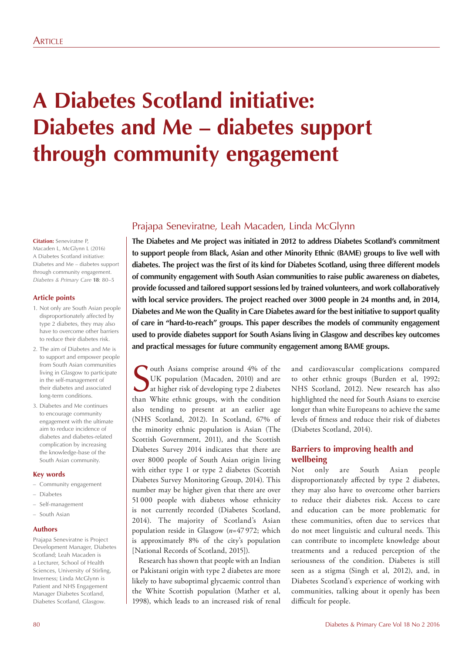# **A Diabetes Scotland initiative: Diabetes and Me – diabetes support through community engagement**

#### **Citation:** Seneviratne P, Macaden L, McGlynn L (2016) A Diabetes Scotland initiative: Diabetes and Me – diabetes support through community engagement. *Diabetes & Primary Care* **18**: 80–5

## **Article points**

- 1. Not only are South Asian people disproportionately affected by type 2 diabetes, they may also have to overcome other barriers to reduce their diabetes risk.
- 2. The aim of Diabetes and Me is to support and empower people from South Asian communities living in Glasgow to participate in the self-management of their diabetes and associated long-term conditions.
- 3. Diabetes and Me continues to encourage community engagement with the ultimate aim to reduce incidence of diabetes and diabetes-related complication by increasing the knowledge-base of the South Asian community.

#### **Key words**

- Community engagement
- Diabetes
- Self-management

## – South Asian

#### **Authors**

Prajapa Seneviratne is Project Development Manager, Diabetes Scotland; Leah Macaden is a Lecturer, School of Health Sciences, University of Stirling, Inverness; Linda McGlynn is Patient and NHS Engagement Manager Diabetes Scotland, Diabetes Scotland, Glasgow.

## Prajapa Seneviratne, Leah Macaden, Linda McGlynn

**The Diabetes and Me project was initiated in 2012 to address Diabetes Scotland's commitment to support people from Black, Asian and other Minority Ethnic (BAME) groups to live well with diabetes. The project was the first of its kind for Diabetes Scotland, using three different models of community engagement with South Asian communities to raise public awareness on diabetes, provide focussed and tailored support sessions led by trained volunteers, and work collaboratively with local service providers. The project reached over 3000 people in 24 months and, in 2014, Diabetes and Me won the Quality in Care Diabetes award for the best initiative to support quality of care in "hard-to-reach" groups. This paper describes the models of community engagement used to provide diabetes support for South Asians living in Glasgow and describes key outcomes and practical messages for future community engagement among BAME groups.** 

South Asians comprise around 4% of the UK population (Macaden, 2010) and are at higher risk of developing type 2 diabetes than White ethnic groups, with the condition outh Asians comprise around 4% of the UK population (Macaden, 2010) and are at higher risk of developing type 2 diabetes also tending to present at an earlier age (NHS Scotland, 2012). In Scotland, 67% of the minority ethnic population is Asian (The Scottish Government, 2011), and the Scottish Diabetes Survey 2014 indicates that there are over 8000 people of South Asian origin living with either type 1 or type 2 diabetes (Scottish Diabetes Survey Monitoring Group, 2014). This number may be higher given that there are over 51 000 people with diabetes whose ethnicity is not currently recorded (Diabetes Scotland, 2014). The majority of Scotland's Asian population reside in Glasgow (*n*=47 972; which is approximately 8% of the city's population [National Records of Scotland, 2015]).

Research has shown that people with an Indian or Pakistani origin with type 2 diabetes are more likely to have suboptimal glycaemic control than the White Scottish population (Mather et al, 1998), which leads to an increased risk of renal

and cardiovascular complications compared to other ethnic groups (Burden et al, 1992; NHS Scotland, 2012). New research has also highlighted the need for South Asians to exercise longer than white Europeans to achieve the same levels of fitness and reduce their risk of diabetes (Diabetes Scotland, 2014).

## **Barriers to improving health and wellbeing**

Not only are South Asian people disproportionately affected by type 2 diabetes, they may also have to overcome other barriers to reduce their diabetes risk. Access to care and education can be more problematic for these communities, often due to services that do not meet linguistic and cultural needs. This can contribute to incomplete knowledge about treatments and a reduced perception of the seriousness of the condition. Diabetes is still seen as a stigma (Singh et al, 2012), and, in Diabetes Scotland's experience of working with communities, talking about it openly has been difficult for people.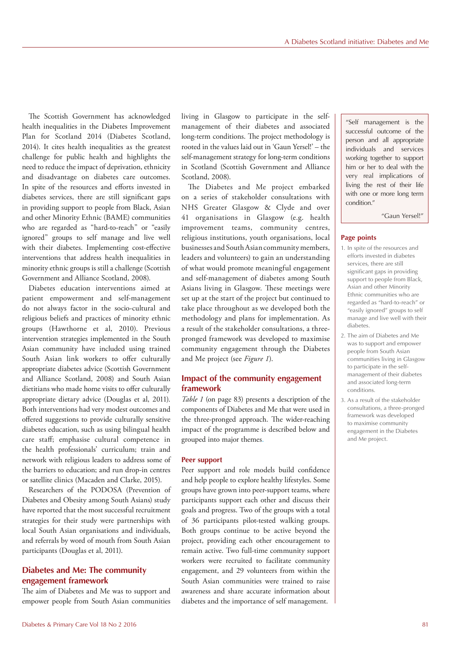The Scottish Government has acknowledged health inequalities in the Diabetes Improvement Plan for Scotland 2014 (Diabetes Scotland, 2014). It cites health inequalities as the greatest challenge for public health and highlights the need to reduce the impact of deprivation, ethnicity and disadvantage on diabetes care outcomes. In spite of the resources and efforts invested in diabetes services, there are still significant gaps in providing support to people from Black, Asian and other Minority Ethnic (BAME) communities who are regarded as "hard-to-reach" or "easily ignored" groups to self manage and live well with their diabetes. Implementing cost-effective interventions that address health inequalities in minority ethnic groups is still a challenge (Scottish Government and Alliance Scotland, 2008).

Diabetes education interventions aimed at patient empowerment and self-management do not always factor in the socio-cultural and religious beliefs and practices of minority ethnic groups (Hawthorne et al, 2010). Previous intervention strategies implemented in the South Asian community have included using trained South Asian link workers to offer culturally appropriate diabetes advice (Scottish Government and Alliance Scotland, 2008) and South Asian dietitians who made home visits to offer culturally appropriate dietary advice (Douglas et al, 2011). Both interventions had very modest outcomes and offered suggestions to provide culturally sensitive diabetes education, such as using bilingual health care staff; emphasise cultural competence in the health professionals' curriculum; train and network with religious leaders to address some of the barriers to education; and run drop-in centres or satellite clinics (Macaden and Clarke, 2015).

Researchers of the PODOSA (Prevention of Diabetes and Obesity among South Asians) study have reported that the most successful recruitment strategies for their study were partnerships with local South Asian organisations and individuals, and referrals by word of mouth from South Asian participants (Douglas et al, 2011).

## **Diabetes and Me: The community engagement framework**

The aim of Diabetes and Me was to support and empower people from South Asian communities living in Glasgow to participate in the selfmanagement of their diabetes and associated long-term conditions. The project methodology is rooted in the values laid out in 'Gaun Yersel!' – the self-management strategy for long-term conditions in Scotland (Scottish Government and Alliance Scotland, 2008).

The Diabetes and Me project embarked on a series of stakeholder consultations with NHS Greater Glasgow & Clyde and over 41 organisations in Glasgow (e.g. health improvement teams, community centres, religious institutions, youth organisations, local businesses and South Asian community members, leaders and volunteers) to gain an understanding of what would promote meaningful engagement and self-management of diabetes among South Asians living in Glasgow. These meetings were set up at the start of the project but continued to take place throughout as we developed both the methodology and plans for implementation. As a result of the stakeholder consultations, a threepronged framework was developed to maximise community engagement through the Diabetes and Me project (see *Figure 1*).

## **Impact of the community engagement framework**

*Table 1* (on page 83) presents a description of the components of Diabetes and Me that were used in the three-pronged approach. The wider-reaching impact of the programme is described below and grouped into major themes.

#### **Peer support**

Peer support and role models build confidence and help people to explore healthy lifestyles. Some groups have grown into peer-support teams, where participants support each other and discuss their goals and progress. Two of the groups with a total of 36 participants pilot-tested walking groups. Both groups continue to be active beyond the project, providing each other encouragement to remain active. Two full-time community support workers were recruited to facilitate community engagement, and 29 volunteers from within the South Asian communities were trained to raise awareness and share accurate information about diabetes and the importance of self management.

"Self management is the successful outcome of the person and all appropriate individuals and services working together to support him or her to deal with the very real implications of living the rest of their life with one or more long term condition."

"Gaun Yersel!"

#### **Page points**

- 1. In spite of the resources and efforts invested in diabetes services, there are still significant gaps in providing support to people from Black, Asian and other Minority Ethnic communities who are regarded as "hard-to-reach" or "easily ignored" groups to self manage and live well with their diabetes.
- 2. The aim of Diabetes and Me was to support and empower people from South Asian communities living in Glasgow to participate in the selfmanagement of their diabetes and associated long-term conditions.
- 3. As a result of the stakeholder consultations, a three-pronged framework was developed to maximise community engagement in the Diabetes and Me project.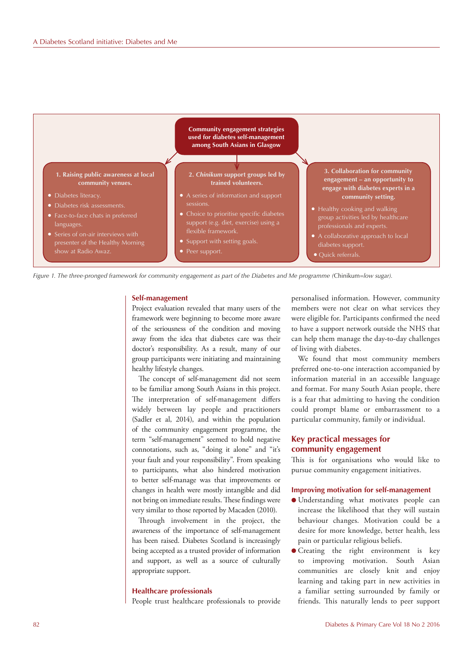



#### **Self-management**

Project evaluation revealed that many users of the framework were beginning to become more aware of the seriousness of the condition and moving away from the idea that diabetes care was their doctor's responsibility. As a result, many of our group participants were initiating and maintaining healthy lifestyle changes.

The concept of self-management did not seem to be familiar among South Asians in this project. The interpretation of self-management differs widely between lay people and practitioners (Sadler et al, 2014), and within the population of the community engagement programme, the term "self-management" seemed to hold negative connotations, such as, "doing it alone" and "it's your fault and your responsibility". From speaking to participants, what also hindered motivation to better self-manage was that improvements or changes in health were mostly intangible and did not bring on immediate results. These findings were very similar to those reported by Macaden (2010).

Through involvement in the project, the awareness of the importance of self-management has been raised. Diabetes Scotland is increasingly being accepted as a trusted provider of information and support, as well as a source of culturally appropriate support.

#### **Healthcare professionals**

People trust healthcare professionals to provide

personalised information. However, community members were not clear on what services they were eligible for. Participants confirmed the need to have a support network outside the NHS that can help them manage the day-to-day challenges of living with diabetes.

We found that most community members preferred one-to-one interaction accompanied by information material in an accessible language and format. For many South Asian people, there is a fear that admitting to having the condition could prompt blame or embarrassment to a particular community, family or individual.

## **Key practical messages for community engagement**

This is for organisations who would like to pursue community engagement initiatives.

#### **Improving motivation for self-management**

- l Understanding what motivates people can increase the likelihood that they will sustain behaviour changes. Motivation could be a desire for more knowledge, better health, less pain or particular religious beliefs.
- **•** Creating the right environment is key to improving motivation. South Asian communities are closely knit and enjoy learning and taking part in new activities in a familiar setting surrounded by family or friends. This naturally lends to peer support

#### 82 Diabetes & Primary Care Vol 18 No 2 2016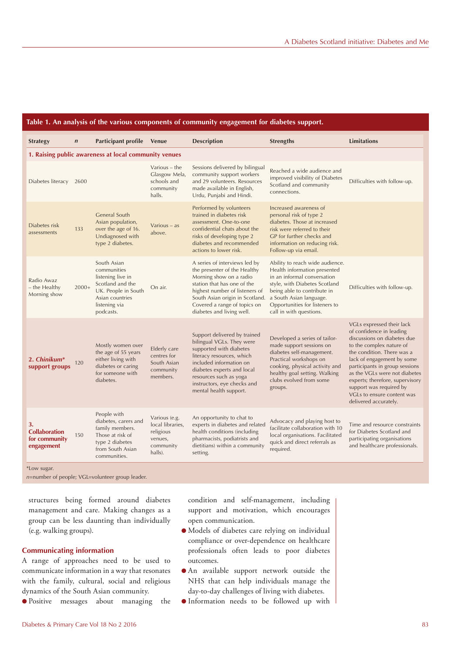| <b>Strategy</b>                                                          | $\boldsymbol{n}$ | Participant profile Venue                                                                                                                   |                                                                                   | <b>Description</b>                                                                                                                                                                                                                                            | <b>Strengths</b>                                                                                                                                                                                                                                       | <b>Limitations</b>                                                                                                                                                                                                                                                                                                                                                   |
|--------------------------------------------------------------------------|------------------|---------------------------------------------------------------------------------------------------------------------------------------------|-----------------------------------------------------------------------------------|---------------------------------------------------------------------------------------------------------------------------------------------------------------------------------------------------------------------------------------------------------------|--------------------------------------------------------------------------------------------------------------------------------------------------------------------------------------------------------------------------------------------------------|----------------------------------------------------------------------------------------------------------------------------------------------------------------------------------------------------------------------------------------------------------------------------------------------------------------------------------------------------------------------|
| 1. Raising public awareness at local community venues                    |                  |                                                                                                                                             |                                                                                   |                                                                                                                                                                                                                                                               |                                                                                                                                                                                                                                                        |                                                                                                                                                                                                                                                                                                                                                                      |
| Diabetes literacy                                                        | 2600             |                                                                                                                                             | Various $-$ the<br>Glasgow Mela,<br>schools and<br>community<br>halls.            | Sessions delivered by bilingual<br>community support workers<br>and 29 volunteers. Resources<br>made available in English,<br>Urdu, Punjabi and Hindi.                                                                                                        | Reached a wide audience and<br>improved visibility of Diabetes<br>Scotland and community<br>connections.                                                                                                                                               | Difficulties with follow-up.                                                                                                                                                                                                                                                                                                                                         |
| Diabetes risk<br>assessments                                             | 133              | General South<br>Asian population,<br>over the age of 16.<br>Undiagnosed with<br>type 2 diabetes.                                           | Various $-$ as<br>above.                                                          | Performed by volunteers<br>trained in diabetes risk<br>assessment. One-to-one<br>confidential chats about the<br>risks of developing type 2<br>diabetes and recommended<br>actions to lower risk.                                                             | Increased awareness of<br>personal risk of type 2<br>diabetes. Those at increased<br>risk were referred to their<br>GP for further checks and<br>information on reducing risk.<br>Follow-up via email.                                                 |                                                                                                                                                                                                                                                                                                                                                                      |
| Radio Awaz<br>- the Healthy<br>Morning show                              | $2000+$          | South Asian<br>communities<br>listening live in<br>Scotland and the<br>UK. People in South<br>Asian countries<br>listening via<br>podcasts. | On air.                                                                           | A series of interviews led by<br>the presenter of the Healthy<br>Morning show on a radio<br>station that has one of the<br>highest number of listeners of<br>South Asian origin in Scotland.<br>Covered a range of topics on<br>diabetes and living well.     | Ability to reach wide audience.<br>Health information presented<br>in an informal conversation<br>style, with Diabetes Scotland<br>being able to contribute in<br>a South Asian language.<br>Opportunities for listeners to<br>call in with questions. | Difficulties with follow-up.                                                                                                                                                                                                                                                                                                                                         |
| 2. Chinikum*<br>support groups                                           | 120              | Mostly women over<br>the age of 55 years<br>either living with<br>diabetes or caring<br>for someone with<br>diabetes.                       | Elderly care<br>centres for<br>South Asian<br>community<br>members.               | Support delivered by trained<br>bilingual VGLs. They were<br>supported with diabetes<br>literacy resources, which<br>included information on<br>diabetes experts and local<br>resources such as yoga<br>instructors, eye checks and<br>mental health support. | Developed a series of tailor-<br>made support sessions on<br>diabetes self-management.<br>Practical workshops on<br>cooking, physical activity and<br>healthy goal setting. Walking<br>clubs evolved from some<br>groups.                              | VGLs expressed their lack<br>of confidence in leading<br>discussions on diabetes due<br>to the complex nature of<br>the condition. There was a<br>lack of engagement by some<br>participants in group sessions<br>as the VGLs were not diabetes<br>experts; therefore, supervisory<br>support was required by<br>VGLs to ensure content was<br>delivered accurately. |
| 3.<br><b>Collaboration</b><br>for community<br>engagement<br>*Low sugar. | 150              | People with<br>diabetes, carers and<br>family members.<br>Those at risk of<br>type 2 diabetes<br>from South Asian<br>communities.           | Various (e.g.<br>local libraries,<br>religious<br>venues,<br>community<br>halls). | An opportunity to chat to<br>experts in diabetes and related<br>health conditions (including<br>pharmacists, podiatrists and<br>dietitians) within a community<br>setting.                                                                                    | Advocacy and playing host to<br>facilitate collaboration with 10<br>local organisations. Facilitated<br>quick and direct referrals as<br>required.                                                                                                     | Time and resource constraints<br>for Diabetes Scotland and<br>participating organisations<br>and healthcare professionals.                                                                                                                                                                                                                                           |

**Table 1. An analysis of the various components of community engagement for diabetes support.**

*n*=number of people; VGL=volunteer group leader.

structures being formed around diabetes management and care. Making changes as a group can be less daunting than individually (e.g. walking groups).

#### **Communicating information**

A range of approaches need to be used to communicate information in a way that resonates with the family, cultural, social and religious dynamics of the South Asian community.

**• Positive messages about managing the** 

condition and self-management, including support and motivation, which encourages open communication.

- l Models of diabetes care relying on individual compliance or over-dependence on healthcare professionals often leads to poor diabetes outcomes.
- l An available support network outside the NHS that can help individuals manage the day-to-day challenges of living with diabetes.
- l Information needs to be followed up with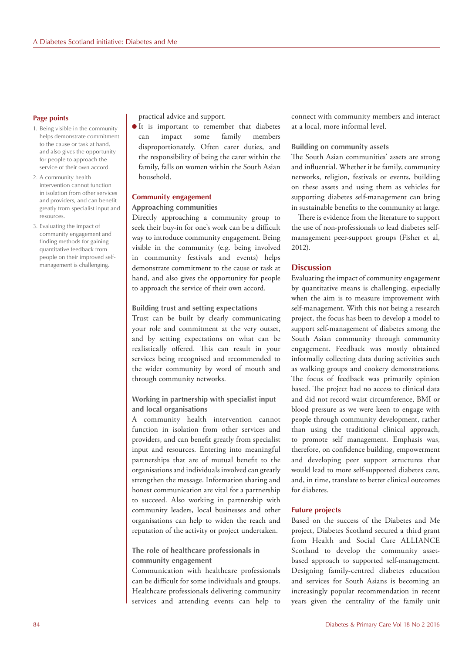#### **Page points**

- 1. Being visible in the community helps demonstrate commitment to the cause or task at hand, and also gives the opportunity for people to approach the service of their own accord.
- 2. A community health intervention cannot function in isolation from other services and providers, and can benefit greatly from specialist input and resources.
- 3. Evaluating the impact of community engagement and finding methods for gaining quantitative feedback from people on their improved selfmanagement is challenging.

practical advice and support.

 $\bullet$  It is important to remember that diabetes can impact some family members disproportionately. Often carer duties, and the responsibility of being the carer within the family, falls on women within the South Asian household.

#### **Community engagement Approaching communities**

Directly approaching a community group to seek their buy-in for one's work can be a difficult way to introduce community engagement. Being visible in the community (e.g. being involved in community festivals and events) helps demonstrate commitment to the cause or task at hand, and also gives the opportunity for people to approach the service of their own accord.

#### **Building trust and setting expectations**

Trust can be built by clearly communicating your role and commitment at the very outset, and by setting expectations on what can be realistically offered. This can result in your services being recognised and recommended to the wider community by word of mouth and through community networks.

## **Working in partnership with specialist input and local organisations**

A community health intervention cannot function in isolation from other services and providers, and can benefit greatly from specialist input and resources. Entering into meaningful partnerships that are of mutual benefit to the organisations and individuals involved can greatly strengthen the message. Information sharing and honest communication are vital for a partnership to succeed. Also working in partnership with community leaders, local businesses and other organisations can help to widen the reach and reputation of the activity or project undertaken.

#### **The role of healthcare professionals in community engagement**

Communication with healthcare professionals can be difficult for some individuals and groups. Healthcare professionals delivering community services and attending events can help to

connect with community members and interact at a local, more informal level.

#### **Building on community assets**

The South Asian communities' assets are strong and influential. Whether it be family, community networks, religion, festivals or events, building on these assets and using them as vehicles for supporting diabetes self-management can bring in sustainable benefits to the community at large.

There is evidence from the literature to support the use of non-professionals to lead diabetes selfmanagement peer-support groups (Fisher et al, 2012).

### **Discussion**

Evaluating the impact of community engagement by quantitative means is challenging, especially when the aim is to measure improvement with self-management. With this not being a research project, the focus has been to develop a model to support self-management of diabetes among the South Asian community through community engagement. Feedback was mostly obtained informally collecting data during activities such as walking groups and cookery demonstrations. The focus of feedback was primarily opinion based. The project had no access to clinical data and did not record waist circumference, BMI or blood pressure as we were keen to engage with people through community development, rather than using the traditional clinical approach, to promote self management. Emphasis was, therefore, on confidence building, empowerment and developing peer support structures that would lead to more self-supported diabetes care, and, in time, translate to better clinical outcomes for diabetes.

#### **Future projects**

Based on the success of the Diabetes and Me project, Diabetes Scotland secured a third grant from Health and Social Care ALLIANCE Scotland to develop the community assetbased approach to supported self-management. Designing family-centred diabetes education and services for South Asians is becoming an increasingly popular recommendation in recent years given the centrality of the family unit